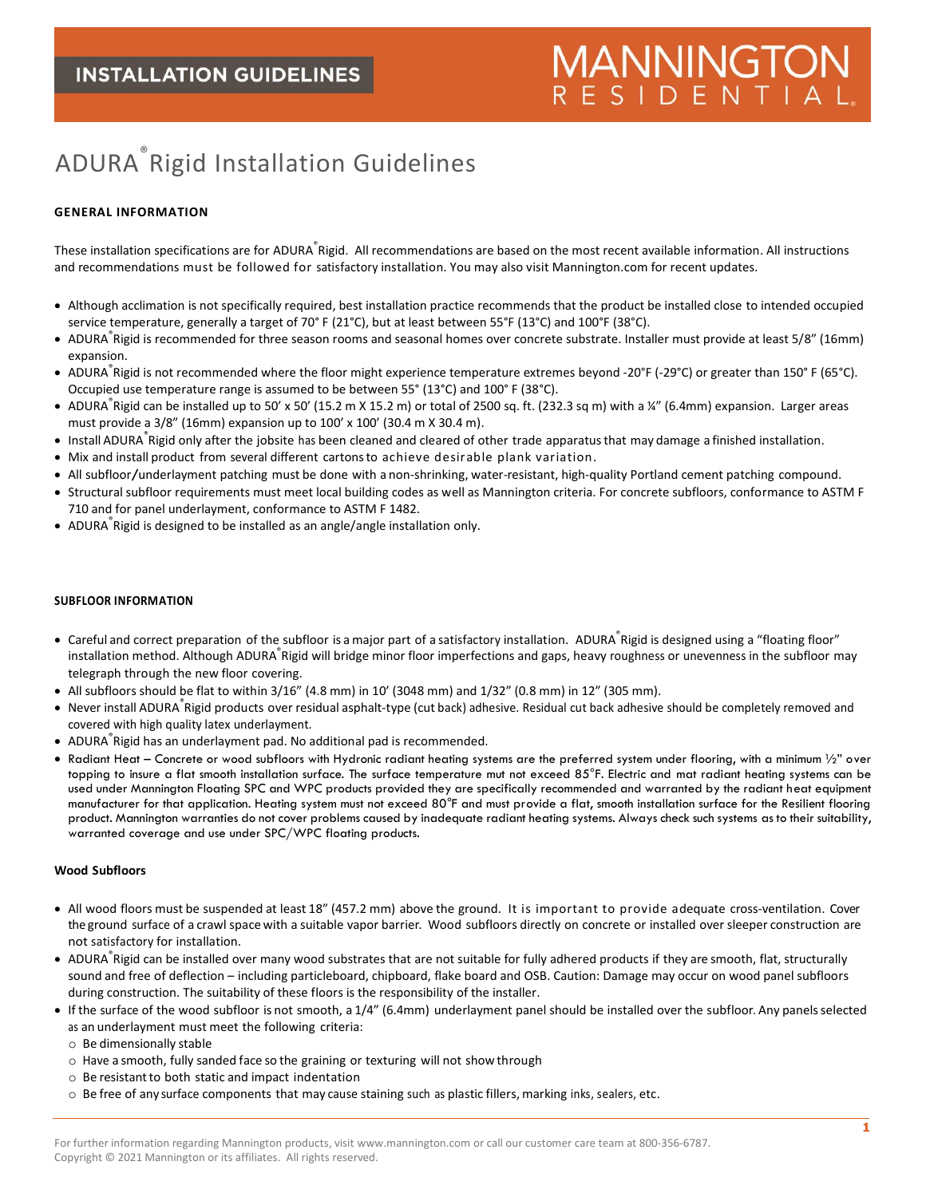# **MANNINGTO** ESIDENTIAL

## ADURA® Rigid Installation Guidelines

## **GENERAL INFORMATION**

These installation specifications are for ADURA ဳRigid. All recommendations are based on the most recent available information. All instructions and recommendations must be followed for satisfactory installation. You may also visit Mannington.com for recent updates.

- Although acclimation is not specifically required, best installation practice recommends that the product be installed close to intended occupied service temperature, generally a target of 70° F (21°C), but at least between 55°F (13°C) and 100°F (38°C).
- ADURA ဳRigid is recommended for three season rooms and seasonal homes over concrete substrate. Installer must provide at least 5/8" (16mm) expansion.
- ADURA ဳRigid is not recommended where the floor might experience temperature extremes beyond -20°F (-29°C) or greater than 150°F (65°C). Occupied use temperature range is assumed to be between 55° (13°C) and 100° F (38°C).
- ADURA Rigid can be installed up to 50' x 50' (15.2 m X 15.2 m) or total of 2500 sq. ft. (232.3 sq m) with a ¼" (6.4mm) expansion. Larger areas must provide a 3/8" (16mm) expansion up to 100' x 100' (30.4 m X 30.4 m).
- Install ADURA ဳRigid only after the jobsite has been cleaned and cleared of other trade apparatus that may damage a finished installation.
- Mix and install product from several different cartonsto achieve desirable plank variation.
- All subfloor/underlayment patching must be done with a non-shrinking, water-resistant, high-quality Portland cement patching compound.
- Structural subfloor requirements must meet local building codes as well as Mannington criteria. For concrete subfloors, conformance to ASTM F 710 and for panel underlayment, conformance to ASTM F 1482.
- ADURA® Rigid is designed to be installed as an angle/angle installation only.

## **SUBFLOOR INFORMATION**

- Careful and correct preparation of the subfloor is a major part of a satisfactory installation. ADURA Rigid is designed using a "floating floor" installation method. Although ADURA ဳRigid will bridge minor floor imperfections and gaps, heavy roughness or unevenness in the subfloor may telegraph through the new floor covering.
- All subfloors should be flat to within  $3/16''$  (4.8 mm) in 10' (3048 mm) and  $1/32''$  (0.8 mm) in 12" (305 mm).
- Never install ADURA Rigid products over residual asphalt-type (cut back) adhesive. Residual cut back adhesive should be completely removed and covered with high quality latex underlayment.
- ADURA® Rigid has an underlayment pad. No additional pad is recommended.
- Radiant Heat Concrete or wood subfloors with Hydronic radiant heating systems are the preferred system under flooring, with a minimum ½" over topping to insure a flat smooth installation surface. The surface temperature mut not exceed 85°F. Electric and mat radiant heating systems can be used under Mannington Floating SPC and WPC products provided they are specifically recommended and warranted by the radiant heat equipment manufacturer for that application. Heating system must not exceed 80°F and must provide a flat, smooth installation surface for the Resilient flooring product. Mannington warranties do not cover problems caused by inadequate radiant heating systems. Always check such systems as to their suitability, warranted coverage and use under SPC/WPC floating products.

## **Wood Subfloors**

- All wood floors must be suspended at least 18" (457.2 mm) above the ground. It is important to provide adequate cross-ventilation. Cover the ground surface of a crawl space with a suitable vapor barrier. Wood subfloors directly on concrete or installed over sleeper construction are not satisfactory for installation.
- ADURA ဳRigid can be installed over many wood substrates that are not suitable for fully adhered products if they are smooth, flat, structurally sound and free of deflection – including particleboard, chipboard, flake board and OSB. Caution: Damage may occur on wood panel subfloors during construction. The suitability of these floors is the responsibility of the installer.
- If the surface of the wood subfloor is not smooth, a 1/4" (6.4mm) underlayment panel should be installed over the subfloor. Any panelsselected as an underlayment must meet the following criteria:
	- o Be dimensionally stable
	- o Have a smooth, fully sanded face so the graining or texturing will not show through
	- $\circ$  Be resistant to both static and impact indentation
	- o Be free of any surface components that may cause staining such as plastic fillers, marking inks, sealers, etc.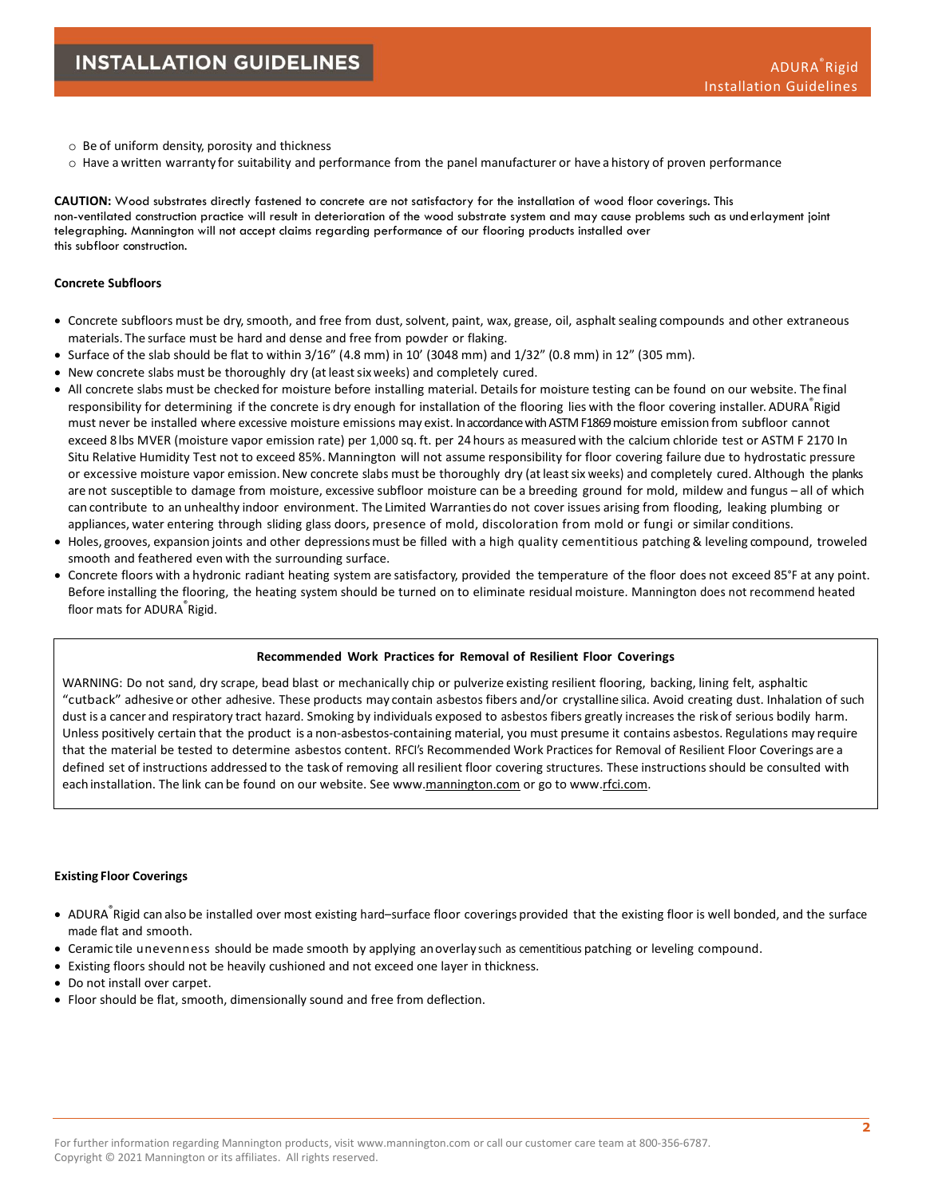- o Be of uniform density, porosity and thickness
- $\circ$  Have a written warranty for suitability and performance from the panel manufacturer or have a history of proven performance

**CAUTION:** Wood substrates directly fastened to concrete are not satisfactory for the installation of wood floor coverings. This non-ventilated construction practice will result in deterioration of the wood substrate system and may cause problems such as underlayment joint telegraphing. Mannington will not accept claims regarding performance of our flooring products installed over this subfloor construction.

## **Concrete Subfloors**

- Concrete subfloors must be dry,smooth, and free from dust,solvent, paint, wax, grease, oil, asphalt sealing compounds and other extraneous materials. The surface must be hard and dense and free from powder or flaking.
- Surface of the slab should be flat to within  $3/16''$  (4.8 mm) in 10' (3048 mm) and  $1/32''$  (0.8 mm) in 12" (305 mm).
- New concrete slabs must be thoroughly dry (atleastsix weeks) and completely cured.
- All concrete slabs must be checked for moisture before installing material. Detailsfor moisture testing can be found on our website. The final responsibility for determining if the concrete is dry enough for installation of the flooring lies with the floor covering installer. ADURA <sup>®</sup>Rigid must never be installed where excessive moisture emissions may exist. In accordance with ASTM F1869 moisture emission from subfloor cannot exceed 8 lbs MVER (moisture vapor emission rate) per 1,000 sq. ft. per 24 hours as measured with the calcium chloride test or ASTM F 2170 In Situ Relative Humidity Test not to exceed 85%. Mannington will not assume responsibility for floor covering failure due to hydrostatic pressure or excessive moisture vapor emission. New concrete slabs must be thoroughly dry (at least six weeks) and completely cured. Although the planks are not susceptible to damage from moisture, excessive subfloor moisture can be a breeding ground for mold, mildew and fungus – all of which can contribute to an unhealthy indoor environment. The Limited Warranties do not cover issues arising from flooding, leaking plumbing or appliances, water entering through sliding glass doors, presence of mold, discoloration from mold or fungi or similar conditions.
- Holes, grooves, expansion joints and other depressionsmust be filled with a high quality cementitious patching & leveling compound, troweled smooth and feathered even with the surrounding surface.
- Concrete floors with a hydronic radiant heating system are satisfactory, provided the temperature of the floor does not exceed 85°F at any point. Before installing the flooring, the heating system should be turned on to eliminate residual moisture. Mannington does not recommend heated floor mats for ADURA<sup>®</sup>Rigid.

#### **Recommended Work Practices for Removal of Resilient Floor Coverings**

WARNING: Do not sand, dry scrape, bead blast or mechanically chip or pulverize existing resilient flooring, backing, lining felt, asphaltic "cutback" adhesive or other adhesive. These products may contain asbestos fibers and/or crystalline silica. Avoid creating dust. Inhalation of such dust is a cancer and respiratory tract hazard. Smoking by individuals exposed to asbestos fibers greatly increases the riskof serious bodily harm. Unless positively certain that the product is a non-asbestos-containing material, you must presume it contains asbestos. Regulations may require that the material be tested to determine asbestos content. RFCI's Recommended Work Practices for Removal of Resilient Floor Coverings are a defined set of instructions addressed to the taskof removing all resilient floor covering structures. These instructions should be consulted with each installation. The link can be found on our website. See ww[w.mannington.com](http://www.mannington.com/) or go to ww[w.rfci.com.](http://www.rfci.com/)

#### **Existing Floor Coverings**

- ADURA Rigid can also be installed over most existing hard-surface floor coverings provided that the existing floor is well bonded, and the surface made flat and smooth.
- Ceramic tile unevenness should be made smooth by applying an overlay such as cementitious patching or leveling compound.
- Existing floors should not be heavily cushioned and not exceed one layer in thickness.
- Do not install over carpet.
- Floor should be flat, smooth, dimensionally sound and free from deflection.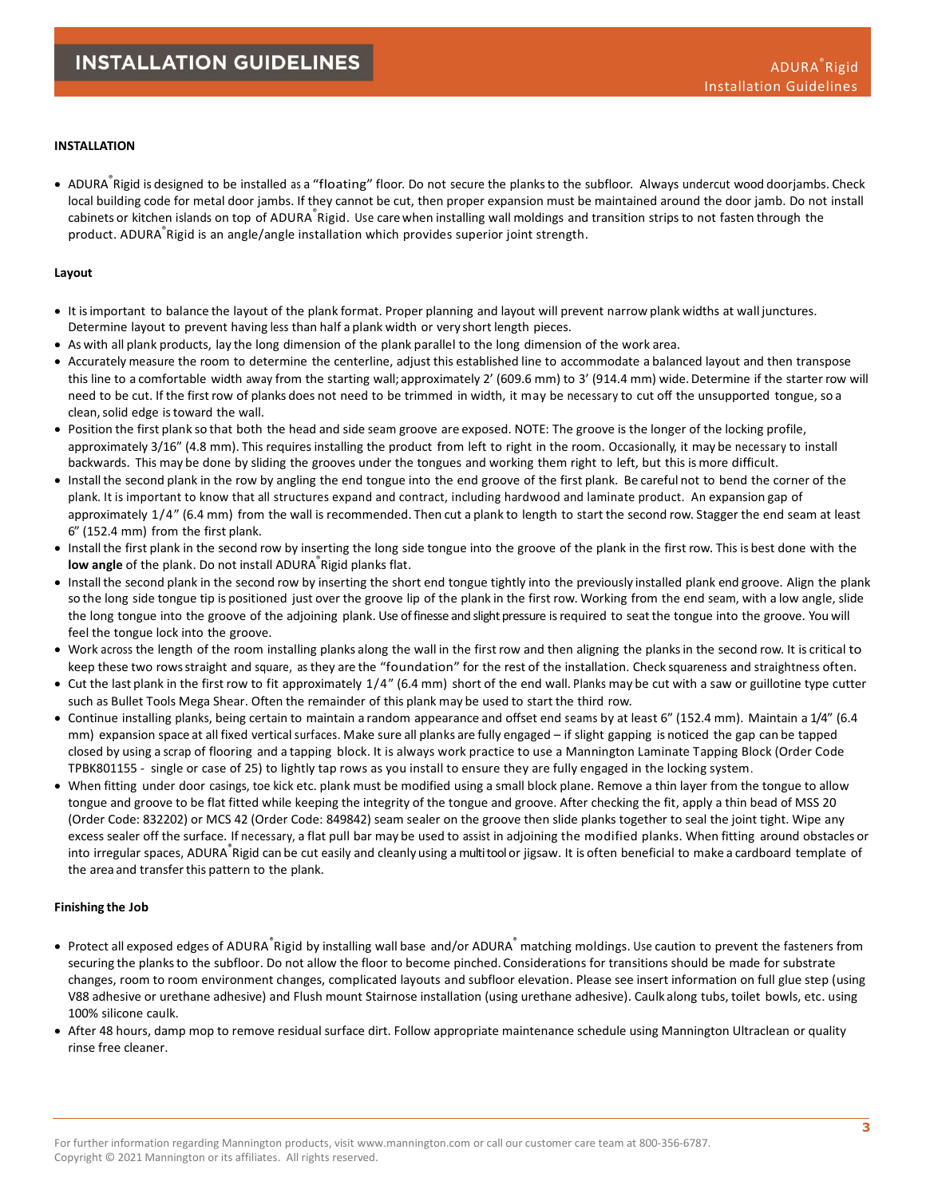## **INSTALLATION**

● ADURA Rigid is designed to be installed as a "floating" floor. Do not secure the planks to the subfloor. Always undercut wood doorjambs. Check local building code for metal door jambs. If they cannot be cut, then proper expansion must be maintained around the door jamb. Do not install cabinets or kitchen islands on top of ADURA ဳRigid. Use care when installing wall moldings and transition strips to not fasten through the product. ADURA® Rigid is an angle/angle installation which provides superior joint strength.

#### **Layout**

- It isimportant to balance the layout of the plank format. Proper planning and layout will prevent narrow plank widths at wall junctures. Determine layout to prevent having less than half a plank width or very short length pieces.
- As with all plank products, lay the long dimension of the plank parallel to the long dimension of the work area.
- Accurately measure the room to determine the centerline, adjust this established line to accommodate a balanced layout and then transpose this line to a comfortable width away from the starting wall; approximately 2' (609.6 mm) to 3' (914.4 mm) wide. Determine if the starter row will need to be cut. If the first row of planks does not need to be trimmed in width, it may be necessary to cut off the unsupported tongue, so a clean, solid edge is toward the wall.
- Position the first plank so that both the head and side seam groove are exposed. NOTE: The groove is the longer of the locking profile, approximately 3/16" (4.8 mm). This requires installing the product from left to right in the room. Occasionally, it may be necessary to install backwards. This may be done by sliding the grooves under the tongues and working them right to left, but this is more difficult.
- Installthe second plank in the row by angling the end tongue into the end groove of the first plank. Be careful not to bend the corner of the plank. It is important to know that all structures expand and contract, including hardwood and laminate product. An expansion gap of approximately 1/4" (6.4 mm) from the wall is recommended. Then cut a plank to length to start the second row. Stagger the end seam at least 6" (152.4 mm) from the first plank.
- Installthe first plank in the second row by inserting the long side tongue into the groove of the plank in the first row. This is best done with the **low angle** of the plank. Do not install ADURA® Rigid planks flat.
- Installthe second plank in the second row by inserting the short end tongue tightly into the previously installed plank end groove. Align the plank so the long side tongue tip is positioned just over the groove lip of the plank in the first row. Working from the end seam, with a low angle, slide the long tongue into the groove of the adjoining plank. Use of finesse and slight pressure is required to seat the tongue into the groove. You will feel the tongue lock into the groove.
- Work across the length of the room installing planks along the wall in the first row and then aligning the planksin the second row. It is critical to keep these two rowsstraight and square, as they are the "foundation" for the rest of the installation. Check squareness and straightness often.
- Cut the last plank in the first row to fit approximately 1/4" (6.4 mm) short of the end wall. Planks may be cut with a saw or guillotine type cutter such as Bullet Tools Mega Shear. Often the remainder of this plank may be used to start the third row.
- Continue installing planks, being certain to maintain a random appearance and offset end seams by at least 6" (152.4 mm). Maintain a 1/4" (6.4 mm) expansion space at all fixed vertical surfaces. Make sure all planks are fully engaged – if slight gapping is noticed the gap can be tapped closed by using a scrap of flooring and a tapping block. It is always work practice to use a Mannington Laminate Tapping Block (Order Code TPBK801155 - single or case of 25) to lightly tap rows as you install to ensure they are fully engaged in the locking system.
- When fitting under door casings, toe kick etc. plank must be modified using a small block plane. Remove a thin layer from the tongue to allow tongue and groove to be flat fitted while keeping the integrity of the tongue and groove. After checking the fit, apply a thin bead of MSS 20 (Order Code: 832202) or MCS 42 (Order Code: 849842) seam sealer on the groove then slide planks together to seal the joint tight. Wipe any excess sealer off the surface. If necessary, a flat pull bar may be used to assist in adjoining the modified planks. When fitting around obstacles or into irregular spaces, ADURA ဳRigid can be cut easily and cleanly using a multi tool or jigsaw. It is often beneficial to make a cardboard template of the area and transferthis pattern to the plank.

#### **Finishing the Job**

- Protect all exposed edges of ADURA ဳRigid by installing wall base and/or ADURA ဳ matching moldings. Use caution to prevent the fasteners from securing the planksto the subfloor. Do not allow the floor to become pinched. Considerations for transitions should be made for substrate changes, room to room environment changes, complicated layouts and subfloor elevation. Please see insert information on full glue step (using V88 adhesive or urethane adhesive) and Flush mount Stairnose installation (using urethane adhesive). Caulk along tubs, toilet bowls, etc. using 100% silicone caulk.
- After 48 hours, damp mop to remove residual surface dirt. Follow appropriate maintenance schedule using Mannington Ultraclean or quality rinse free cleaner.